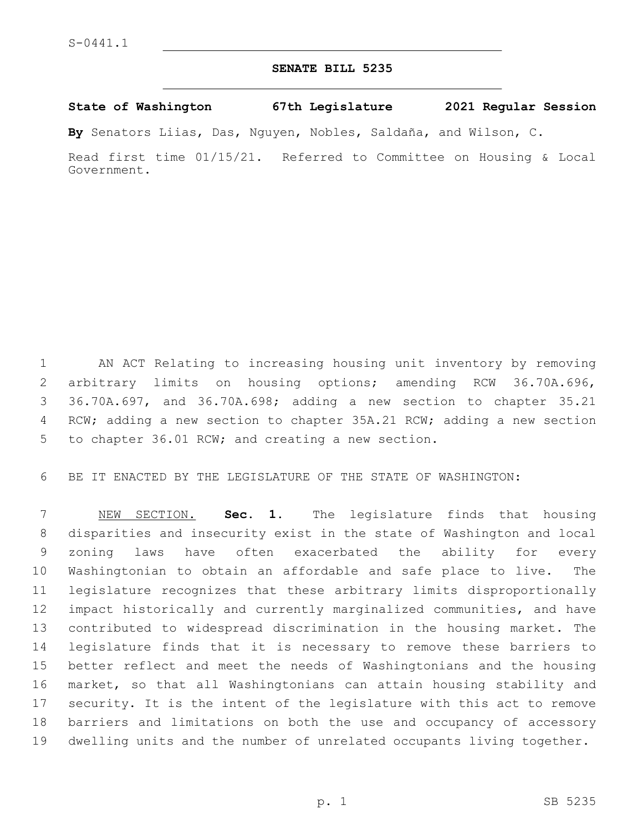## **SENATE BILL 5235**

## **State of Washington 67th Legislature 2021 Regular Session**

**By** Senators Liias, Das, Nguyen, Nobles, Saldaña, and Wilson, C.

Read first time 01/15/21. Referred to Committee on Housing & Local Government.

 AN ACT Relating to increasing housing unit inventory by removing arbitrary limits on housing options; amending RCW 36.70A.696, 36.70A.697, and 36.70A.698; adding a new section to chapter 35.21 RCW; adding a new section to chapter 35A.21 RCW; adding a new section 5 to chapter 36.01 RCW; and creating a new section.

BE IT ENACTED BY THE LEGISLATURE OF THE STATE OF WASHINGTON:

 NEW SECTION. **Sec. 1.** The legislature finds that housing disparities and insecurity exist in the state of Washington and local zoning laws have often exacerbated the ability for every Washingtonian to obtain an affordable and safe place to live. The legislature recognizes that these arbitrary limits disproportionally impact historically and currently marginalized communities, and have contributed to widespread discrimination in the housing market. The legislature finds that it is necessary to remove these barriers to better reflect and meet the needs of Washingtonians and the housing market, so that all Washingtonians can attain housing stability and security. It is the intent of the legislature with this act to remove barriers and limitations on both the use and occupancy of accessory dwelling units and the number of unrelated occupants living together.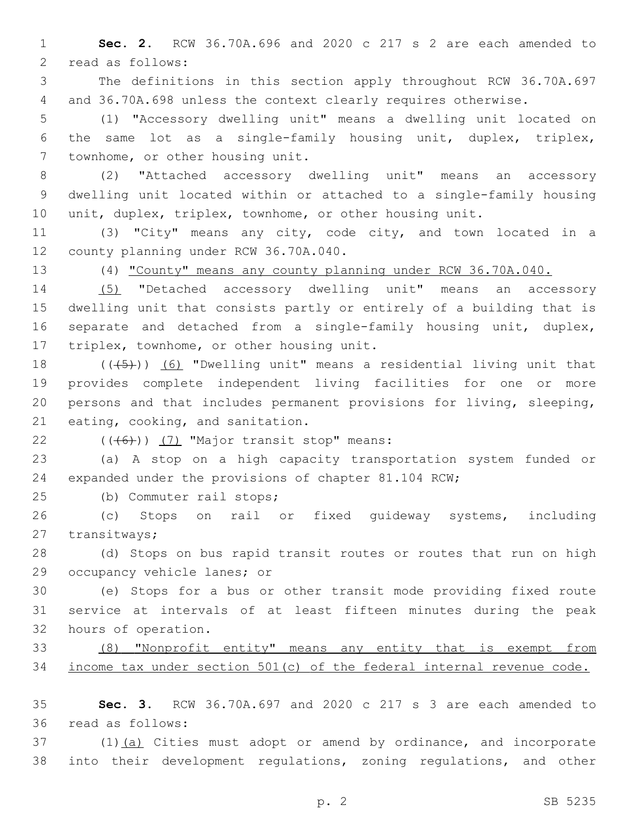**Sec. 2.** RCW 36.70A.696 and 2020 c 217 s 2 are each amended to 2 read as follows:

 The definitions in this section apply throughout RCW 36.70A.697 and 36.70A.698 unless the context clearly requires otherwise.

 (1) "Accessory dwelling unit" means a dwelling unit located on the same lot as a single-family housing unit, duplex, triplex, 7 townhome, or other housing unit.

 (2) "Attached accessory dwelling unit" means an accessory dwelling unit located within or attached to a single-family housing unit, duplex, triplex, townhome, or other housing unit.

 (3) "City" means any city, code city, and town located in a 12 county planning under RCW 36.70A.040.

(4) "County" means any county planning under RCW 36.70A.040.

 (5) "Detached accessory dwelling unit" means an accessory dwelling unit that consists partly or entirely of a building that is separate and detached from a single-family housing unit, duplex, 17 triplex, townhome, or other housing unit.

 $((+5+))$  (6) "Dwelling unit" means a residential living unit that provides complete independent living facilities for one or more persons and that includes permanent provisions for living, sleeping, 21 eating, cooking, and sanitation.

 $(46)$ ) (7) "Major transit stop" means:

 (a) A stop on a high capacity transportation system funded or expanded under the provisions of chapter 81.104 RCW;

25 (b) Commuter rail stops;

 (c) Stops on rail or fixed guideway systems, including 27 transitways;

 (d) Stops on bus rapid transit routes or routes that run on high 29 occupancy vehicle lanes; or

 (e) Stops for a bus or other transit mode providing fixed route service at intervals of at least fifteen minutes during the peak 32 hours of operation.

 (8) "Nonprofit entity" means any entity that is exempt from income tax under section 501(c) of the federal internal revenue code.

 **Sec. 3.** RCW 36.70A.697 and 2020 c 217 s 3 are each amended to 36 read as follows:

 (1)(a) Cities must adopt or amend by ordinance, and incorporate into their development regulations, zoning regulations, and other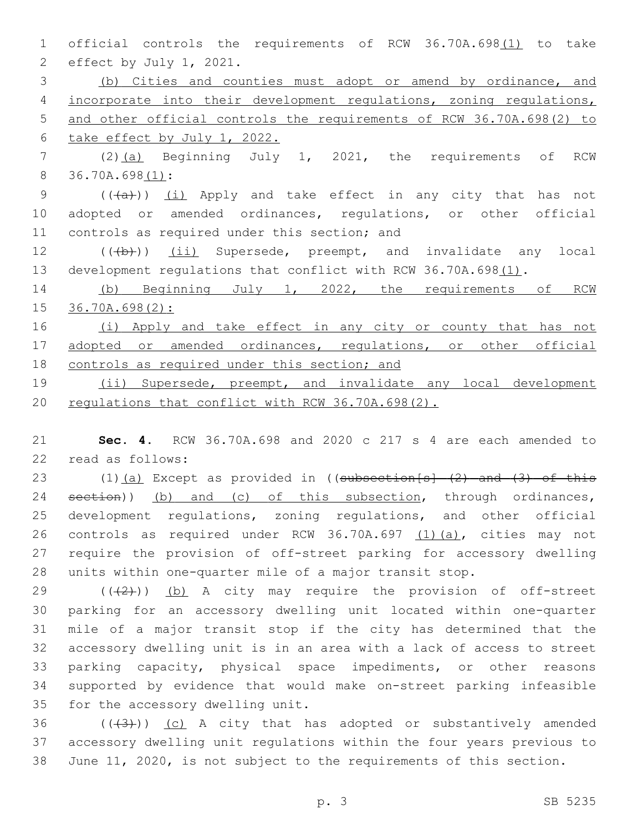1 official controls the requirements of RCW 36.70A.698(1) to take 2 effect by July 1, 2021. 3 (b) Cities and counties must adopt or amend by ordinance, and 4 incorporate into their development regulations, zoning regulations, 5 and other official controls the requirements of RCW 36.70A.698(2) to 6 take effect by July 1, 2022. 7 (2)(a) Beginning July 1, 2021, the requirements of RCW 8 36.70A.698(1): 9 (((a)) (i) Apply and take effect in any city that has not 10 adopted or amended ordinances, regulations, or other official 11 controls as required under this section; and 12 (((b)) (ii) Supersede, preempt, and invalidate any local 13 development regulations that conflict with RCW 36.70A.698(1). 14 (b) Beginning July 1, 2022, the requirements of RCW 15 36.70A.698(2): 16 (i) Apply and take effect in any city or county that has not 17 adopted or amended ordinances, regulations, or other official 18 controls as required under this section; and 19 (ii) Supersede, preempt, and invalidate any local development 20 regulations that conflict with RCW 36.70A.698(2).

21 **Sec. 4.** RCW 36.70A.698 and 2020 c 217 s 4 are each amended to 22 read as follows:

23 (1)(a) Except as provided in ((subsection[s] (2) and (3) of this 24 section)) (b) and (c) of this subsection, through ordinances, development regulations, zoning regulations, and other official controls as required under RCW 36.70A.697 (1)(a), cities may not require the provision of off-street parking for accessory dwelling units within one-quarter mile of a major transit stop.

 $((+2+))$  (b) A city may require the provision of off-street parking for an accessory dwelling unit located within one-quarter mile of a major transit stop if the city has determined that the accessory dwelling unit is in an area with a lack of access to street parking capacity, physical space impediments, or other reasons supported by evidence that would make on-street parking infeasible 35 for the accessory dwelling unit.

36  $((+3+))$  (c) A city that has adopted or substantively amended 37 accessory dwelling unit regulations within the four years previous to 38 June 11, 2020, is not subject to the requirements of this section.